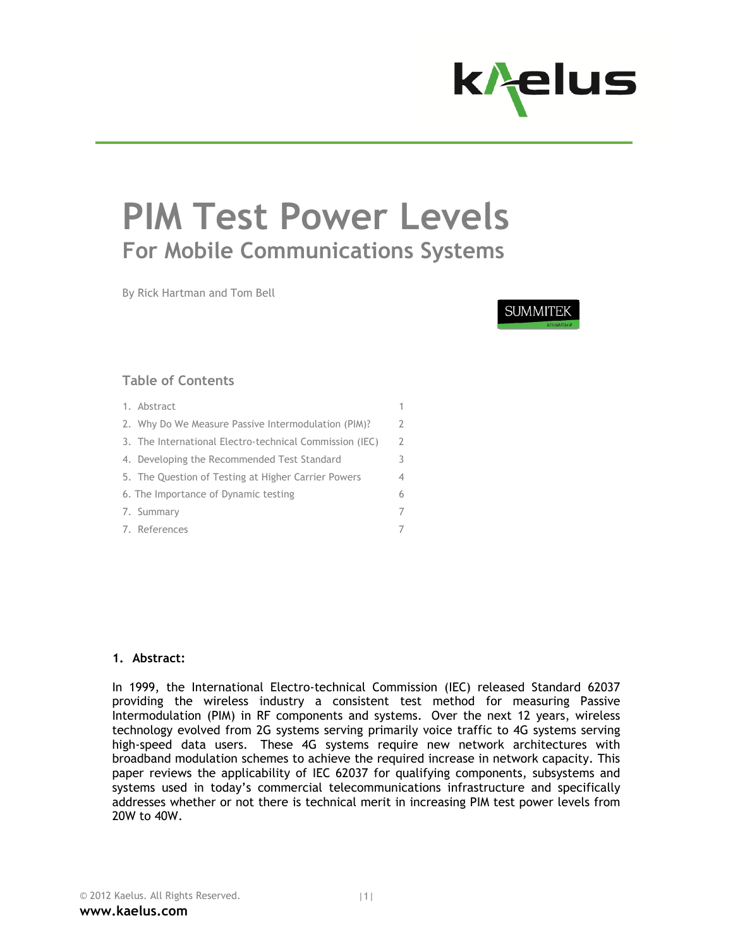

# **PIM Test Power Levels For Mobile Communications Systems**

By Rick Hartman and Tom Bell

**SUMMITEK** 

## **Table of Contents**

- 1. Abstract 1. The contract 1. The contract 1. The contract 1. The contract 1. The contract 1. The contract 1. 2. Why Do We Measure Passive Intermodulation (PIM)? 2 3. The International Electro-technical Commission (IEC) 2 4. Developing the Recommended Test Standard 3 5. The Question of Testing at Higher Carrier Powers 4 6. The Importance of Dynamic testing 6
- 7. Summary 7
- 7. References 7

#### **1. Abstract:**

In 1999, the International Electro-technical Commission (IEC) released Standard 62037 providing the wireless industry a consistent test method for measuring Passive Intermodulation (PIM) in RF components and systems. Over the next 12 years, wireless technology evolved from 2G systems serving primarily voice traffic to 4G systems serving high-speed data users. These 4G systems require new network architectures with broadband modulation schemes to achieve the required increase in network capacity. This paper reviews the applicability of IEC 62037 for qualifying components, subsystems and systems used in today's commercial telecommunications infrastructure and specifically addresses whether or not there is technical merit in increasing PIM test power levels from 20W to 40W.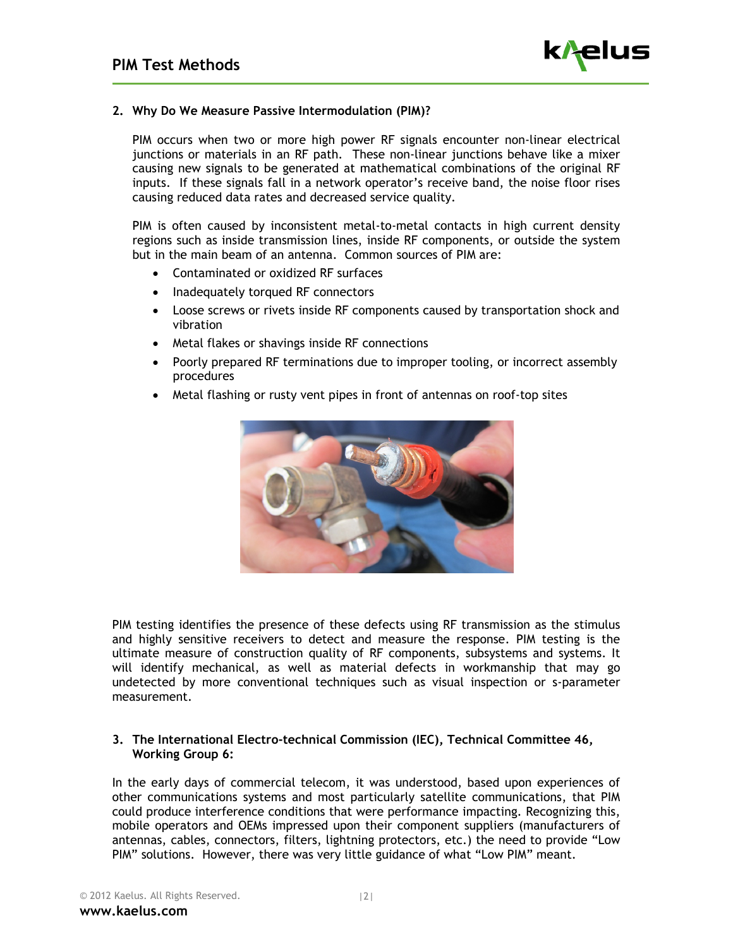

#### **2. Why Do We Measure Passive Intermodulation (PIM)?**

PIM occurs when two or more high power RF signals encounter non-linear electrical junctions or materials in an RF path. These non-linear junctions behave like a mixer causing new signals to be generated at mathematical combinations of the original RF inputs. If these signals fall in a network operator's receive band, the noise floor rises causing reduced data rates and decreased service quality.

PIM is often caused by inconsistent metal-to-metal contacts in high current density regions such as inside transmission lines, inside RF components, or outside the system but in the main beam of an antenna. Common sources of PIM are:

- Contaminated or oxidized RF surfaces
- Inadequately torqued RF connectors
- Loose screws or rivets inside RF components caused by transportation shock and vibration
- Metal flakes or shavings inside RF connections
- Poorly prepared RF terminations due to improper tooling, or incorrect assembly procedures
- Metal flashing or rusty vent pipes in front of antennas on roof-top sites



PIM testing identifies the presence of these defects using RF transmission as the stimulus and highly sensitive receivers to detect and measure the response. PIM testing is the ultimate measure of construction quality of RF components, subsystems and systems. It will identify mechanical, as well as material defects in workmanship that may go undetected by more conventional techniques such as visual inspection or s-parameter measurement.

#### **3. The International Electro-technical Commission (IEC), Technical Committee 46, Working Group 6:**

In the early days of commercial telecom, it was understood, based upon experiences of other communications systems and most particularly satellite communications, that PIM could produce interference conditions that were performance impacting. Recognizing this, mobile operators and OEMs impressed upon their component suppliers (manufacturers of antennas, cables, connectors, filters, lightning protectors, etc.) the need to provide "Low PIM" solutions. However, there was very little guidance of what "Low PIM" meant.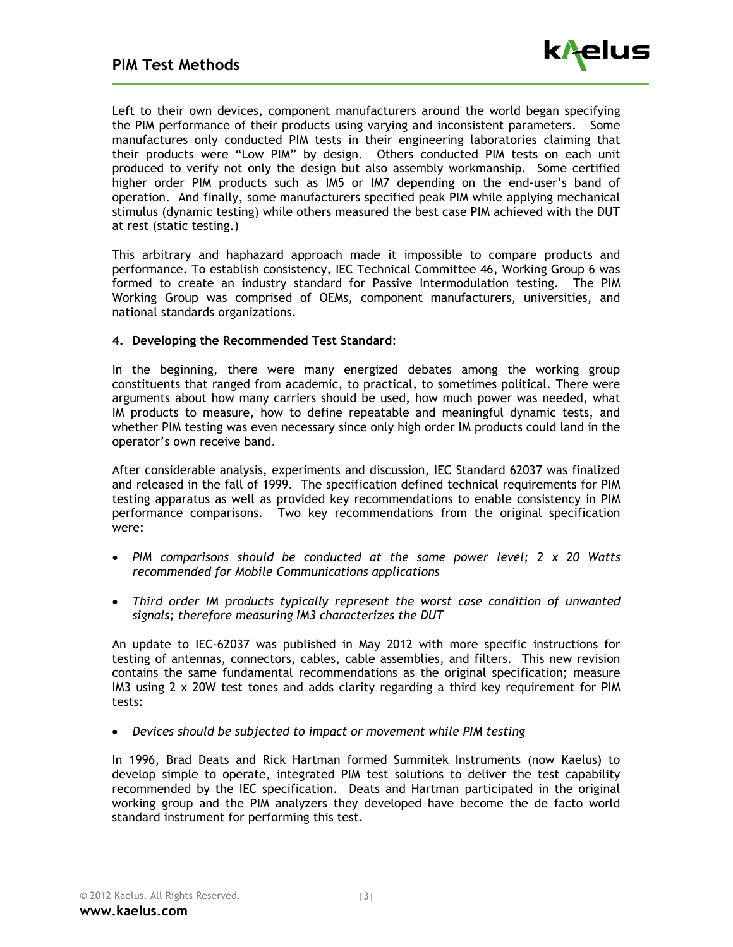

Left to their own devices, component manufacturers around the world began specifying the PIM performance of their products using varying and inconsistent parameters. Some manufactures only conducted PIM tests in their engineering laboratories claiming that their products were "Low PIM" by design. Others conducted PIM tests on each unit produced to verify not only the design but also assembly workmanship. Some certified higher order PIM products such as IM5 or IM7 depending on the end-user's band of operation. And finally, some manufacturers specified peak PIM while applying mechanical stimulus (dynamic testing) while others measured the best case PIM achieved with the DUT at rest (static testing.)

This arbitrary and haphazard approach made it impossible to compare products and performance. To establish consistency, IEC Technical Committee 46, Working Group 6 was formed to create an industry standard for Passive Intermodulation testing. The PIM Working Group was comprised of OEMs, component manufacturers, universities, and national standards organizations.

#### **4. Developing the Recommended Test Standard**:

In the beginning, there were many energized debates among the working group constituents that ranged from academic, to practical, to sometimes political. There were arguments about how many carriers should be used, how much power was needed, what IM products to measure, how to define repeatable and meaningful dynamic tests, and whether PIM testing was even necessary since only high order IM products could land in the operator's own receive band.

After considerable analysis, experiments and discussion, IEC Standard 62037 was finalized and released in the fall of 1999. The specification defined technical requirements for PIM testing apparatus as well as provided key recommendations to enable consistency in PIM performance comparisons. Two key recommendations from the original specification were:

- *PIM comparisons should be conducted at the same power level; 2 x 20 Watts recommended for Mobile Communications applications*
- *Third order IM products typically represent the worst case condition of unwanted signals; therefore measuring IM3 characterizes the DUT*

An update to IEC-62037 was published in May 2012 with more specific instructions for testing of antennas, connectors, cables, cable assemblies, and filters. This new revision contains the same fundamental recommendations as the original specification; measure IM3 using 2 x 20W test tones and adds clarity regarding a third key requirement for PIM tests:

*Devices should be subjected to impact or movement while PIM testing* 

In 1996, Brad Deats and Rick Hartman formed Summitek Instruments (now Kaelus) to develop simple to operate, integrated PIM test solutions to deliver the test capability recommended by the IEC specification. Deats and Hartman participated in the original working group and the PIM analyzers they developed have become the de facto world standard instrument for performing this test.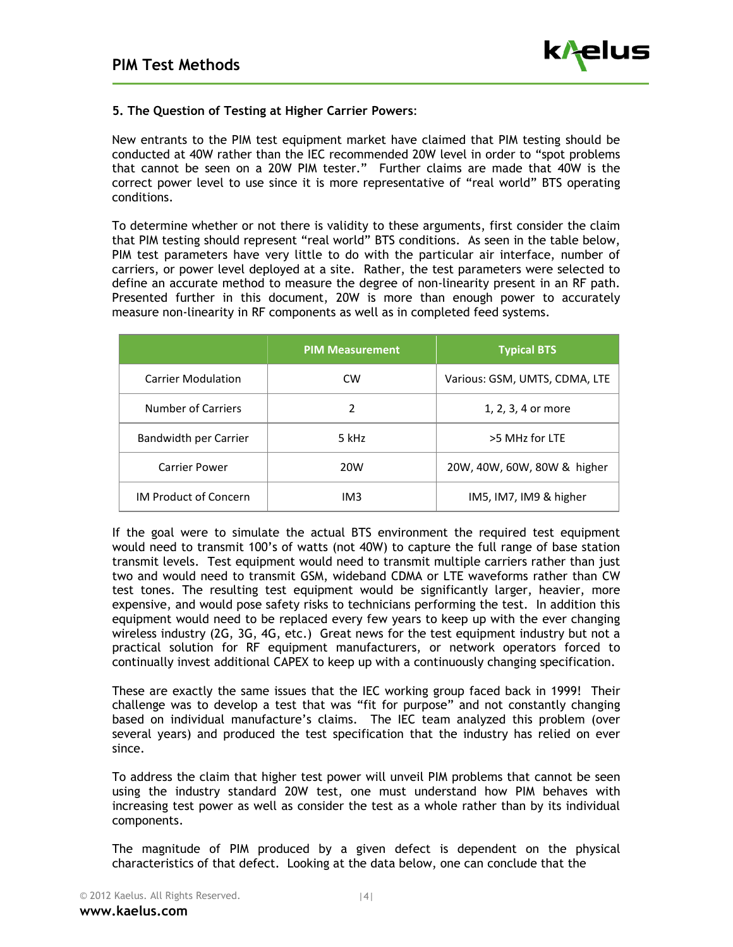

### **5. The Question of Testing at Higher Carrier Powers**:

New entrants to the PIM test equipment market have claimed that PIM testing should be conducted at 40W rather than the IEC recommended 20W level in order to "spot problems that cannot be seen on a 20W PIM tester." Further claims are made that 40W is the correct power level to use since it is more representative of "real world" BTS operating conditions.

To determine whether or not there is validity to these arguments, first consider the claim that PIM testing should represent "real world" BTS conditions. As seen in the table below, PIM test parameters have very little to do with the particular air interface, number of carriers, or power level deployed at a site. Rather, the test parameters were selected to define an accurate method to measure the degree of non-linearity present in an RF path. Presented further in this document, 20W is more than enough power to accurately measure non-linearity in RF components as well as in completed feed systems.

|                              | <b>PIM Measurement</b> | <b>Typical BTS</b>            |
|------------------------------|------------------------|-------------------------------|
| <b>Carrier Modulation</b>    | <b>CW</b>              | Various: GSM, UMTS, CDMA, LTE |
| Number of Carriers           | 2                      | 1, 2, 3, 4 or more            |
| Bandwidth per Carrier        | 5 kHz                  | >5 MHz for LTE                |
| <b>Carrier Power</b>         | 20W                    | 20W, 40W, 60W, 80W & higher   |
| <b>IM Product of Concern</b> | IM3                    | IM5, IM7, IM9 & higher        |

If the goal were to simulate the actual BTS environment the required test equipment would need to transmit 100's of watts (not 40W) to capture the full range of base station transmit levels. Test equipment would need to transmit multiple carriers rather than just two and would need to transmit GSM, wideband CDMA or LTE waveforms rather than CW test tones. The resulting test equipment would be significantly larger, heavier, more expensive, and would pose safety risks to technicians performing the test. In addition this equipment would need to be replaced every few years to keep up with the ever changing wireless industry (2G, 3G, 4G, etc.) Great news for the test equipment industry but not a practical solution for RF equipment manufacturers, or network operators forced to continually invest additional CAPEX to keep up with a continuously changing specification.

These are exactly the same issues that the IEC working group faced back in 1999! Their challenge was to develop a test that was "fit for purpose" and not constantly changing based on individual manufacture's claims. The IEC team analyzed this problem (over several years) and produced the test specification that the industry has relied on ever since.

To address the claim that higher test power will unveil PIM problems that cannot be seen using the industry standard 20W test, one must understand how PIM behaves with increasing test power as well as consider the test as a whole rather than by its individual components.

The magnitude of PIM produced by a given defect is dependent on the physical characteristics of that defect. Looking at the data below, one can conclude that the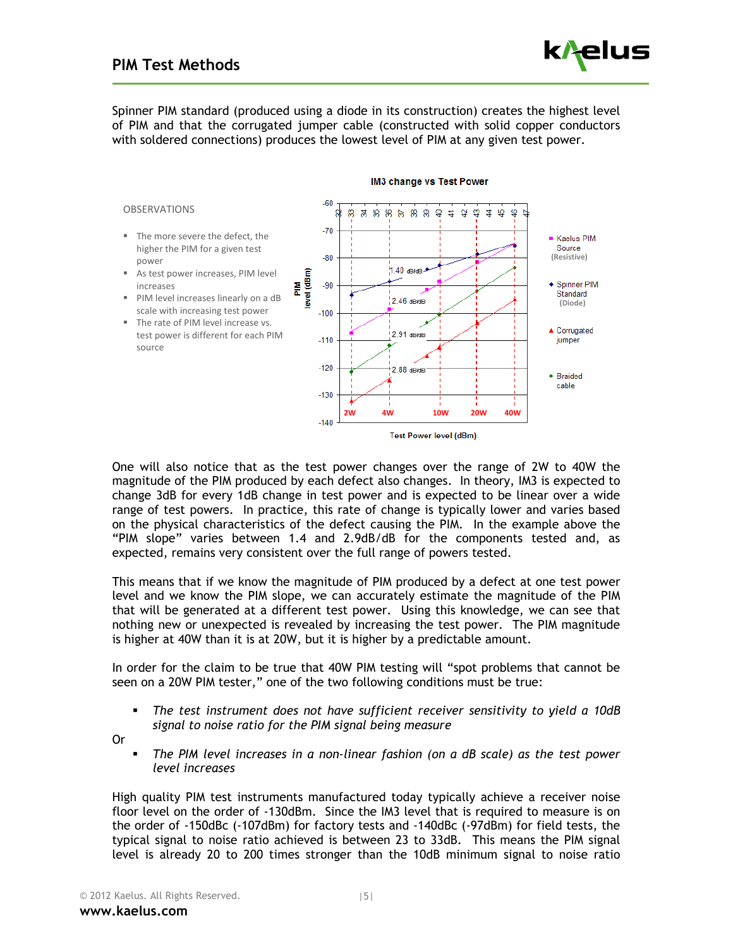Spinner PIM standard (produced using a diode in its construction) creates the highest level of PIM and that the corrugated jumper cable (constructed with solid copper conductors with soldered connections) produces the lowest level of PIM at any given test power.



IM3 change vs Test Power

One will also notice that as the test power changes over the range of 2W to 40W the magnitude of the PIM produced by each defect also changes. In theory, IM3 is expected to change 3dB for every 1dB change in test power and is expected to be linear over a wide range of test powers. In practice, this rate of change is typically lower and varies based on the physical characteristics of the defect causing the PIM. In the example above the "PIM slope" varies between 1.4 and 2.9dB/dB for the components tested and, as expected, remains very consistent over the full range of powers tested.

This means that if we know the magnitude of PIM produced by a defect at one test power level and we know the PIM slope, we can accurately estimate the magnitude of the PIM that will be generated at a different test power. Using this knowledge, we can see that nothing new or unexpected is revealed by increasing the test power. The PIM magnitude is higher at 40W than it is at 20W, but it is higher by a predictable amount.

In order for the claim to be true that 40W PIM testing will "spot problems that cannot be seen on a 20W PIM tester," one of the two following conditions must be true:

 *The test instrument does not have sufficient receiver sensitivity to yield a 10dB signal to noise ratio for the PIM signal being measure* 

Or

 *The PIM level increases in a non-linear fashion (on a dB scale) as the test power level increases* 

High quality PIM test instruments manufactured today typically achieve a receiver noise floor level on the order of -130dBm. Since the IM3 level that is required to measure is on the order of -150dBc (-107dBm) for factory tests and -140dBc (-97dBm) for field tests, the typical signal to noise ratio achieved is between 23 to 33dB. This means the PIM signal level is already 20 to 200 times stronger than the 10dB minimum signal to noise ratio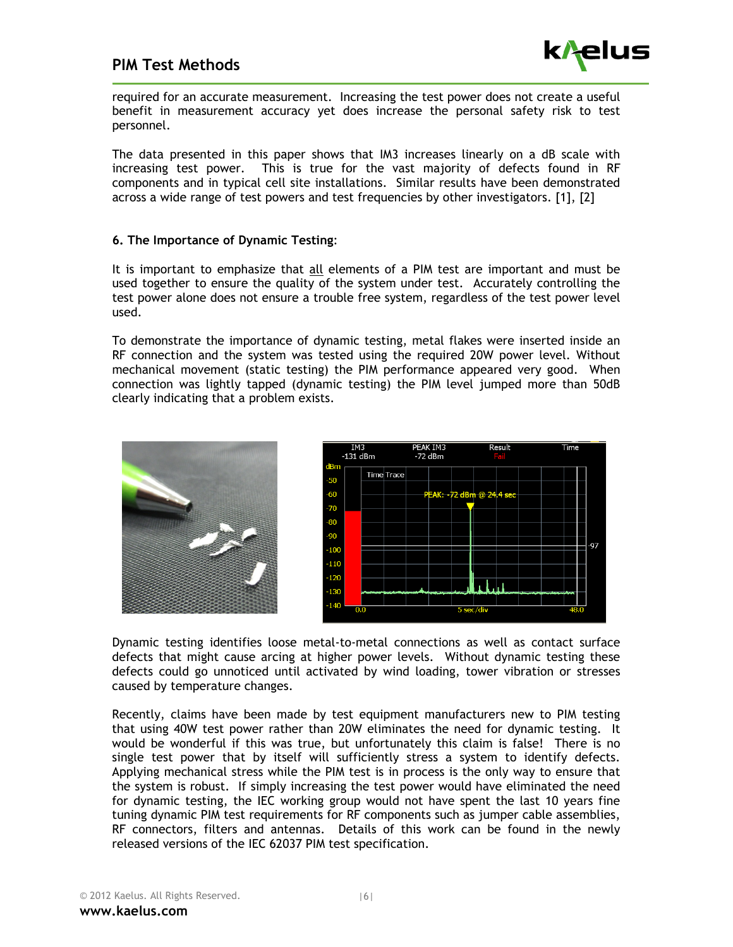

required for an accurate measurement. Increasing the test power does not create a useful benefit in measurement accuracy yet does increase the personal safety risk to test personnel.

The data presented in this paper shows that IM3 increases linearly on a dB scale with increasing test power. This is true for the vast majority of defects found in RF components and in typical cell site installations. Similar results have been demonstrated across a wide range of test powers and test frequencies by other investigators. [1], [2]

#### **6. The Importance of Dynamic Testing**:

It is important to emphasize that all elements of a PIM test are important and must be used together to ensure the quality of the system under test. Accurately controlling the test power alone does not ensure a trouble free system, regardless of the test power level used.

To demonstrate the importance of dynamic testing, metal flakes were inserted inside an RF connection and the system was tested using the required 20W power level. Without mechanical movement (static testing) the PIM performance appeared very good. When connection was lightly tapped (dynamic testing) the PIM level jumped more than 50dB clearly indicating that a problem exists.





Dynamic testing identifies loose metal-to-metal connections as well as contact surface defects that might cause arcing at higher power levels. Without dynamic testing these defects could go unnoticed until activated by wind loading, tower vibration or stresses caused by temperature changes.

Recently, claims have been made by test equipment manufacturers new to PIM testing that using 40W test power rather than 20W eliminates the need for dynamic testing. It would be wonderful if this was true, but unfortunately this claim is false! There is no single test power that by itself will sufficiently stress a system to identify defects. Applying mechanical stress while the PIM test is in process is the only way to ensure that the system is robust. If simply increasing the test power would have eliminated the need for dynamic testing, the IEC working group would not have spent the last 10 years fine tuning dynamic PIM test requirements for RF components such as jumper cable assemblies, RF connectors, filters and antennas. Details of this work can be found in the newly released versions of the IEC 62037 PIM test specification.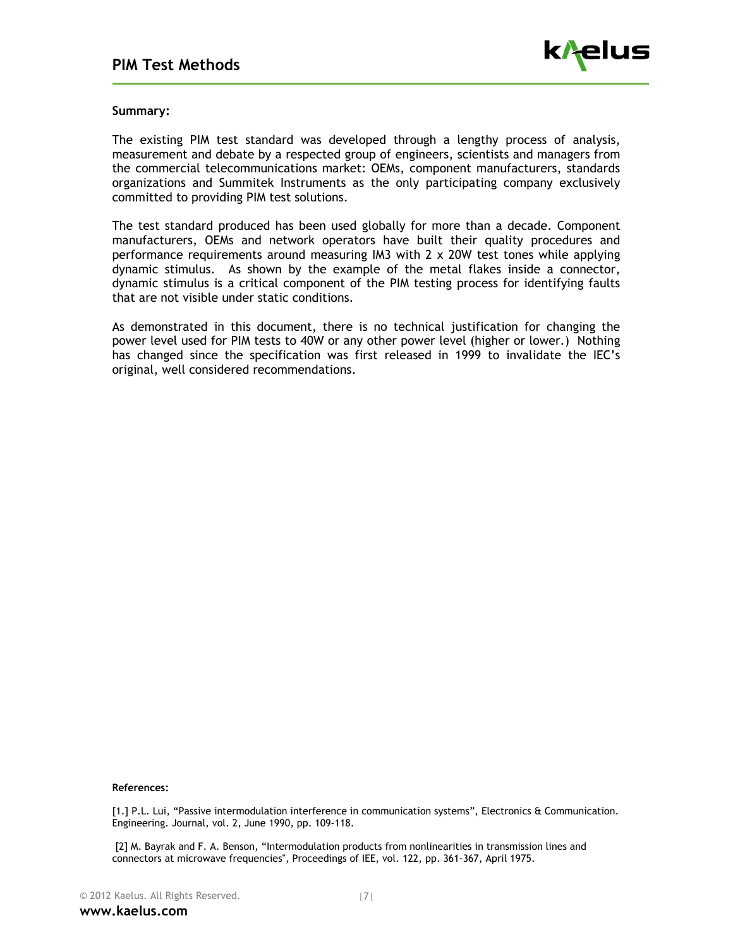

#### **Summary:**

The existing PIM test standard was developed through a lengthy process of analysis, measurement and debate by a respected group of engineers, scientists and managers from the commercial telecommunications market: OEMs, component manufacturers, standards organizations and Summitek Instruments as the only participating company exclusively committed to providing PIM test solutions.

The test standard produced has been used globally for more than a decade. Component manufacturers, OEMs and network operators have built their quality procedures and performance requirements around measuring IM3 with 2 x 20W test tones while applying dynamic stimulus. As shown by the example of the metal flakes inside a connector, dynamic stimulus is a critical component of the PIM testing process for identifying faults that are not visible under static conditions.

As demonstrated in this document, there is no technical justification for changing the power level used for PIM tests to 40W or any other power level (higher or lower.) Nothing has changed since the specification was first released in 1999 to invalidate the IEC's original, well considered recommendations.

#### **References:**

[1.] P.L. Lui, "Passive intermodulation interference in communication systems", Electronics & Communication. Engineering. Journal, vol. 2, June 1990, pp. 109-118.

 [2] M. Bayrak and F. A. Benson, "Intermodulation products from nonlinearities in transmission lines and connectors at microwave frequencies", Proceedings of IEE, vol. 122, pp. 361-367, April 1975.